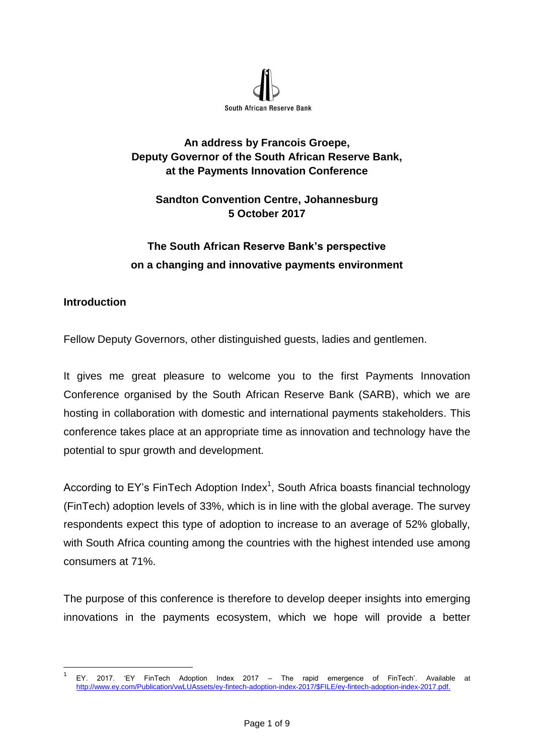

## **An address by Francois Groepe, Deputy Governor of the South African Reserve Bank, at the Payments Innovation Conference**

## **Sandton Convention Centre, Johannesburg 5 October 2017**

# **The South African Reserve Bank's perspective on a changing and innovative payments environment**

## **Introduction**

 $\overline{a}$ 

Fellow Deputy Governors, other distinguished guests, ladies and gentlemen.

It gives me great pleasure to welcome you to the first Payments Innovation Conference organised by the South African Reserve Bank (SARB), which we are hosting in collaboration with domestic and international payments stakeholders. This conference takes place at an appropriate time as innovation and technology have the potential to spur growth and development.

According to EY's FinTech Adoption Index<sup>1</sup>, South Africa boasts financial technology (FinTech) adoption levels of 33%, which is in line with the global average. The survey respondents expect this type of adoption to increase to an average of 52% globally, with South Africa counting among the countries with the highest intended use among consumers at 71%.

The purpose of this conference is therefore to develop deeper insights into emerging innovations in the payments ecosystem, which we hope will provide a better

<sup>1</sup> EY. 2017. 'EY FinTech Adoption Index 2017 – The rapid emergence of FinTech'. Available at [http://www.ey.com/Publication/vwLUAssets/ey-fintech-adoption-index-2017/\\$FILE/ey-fintech-adoption-index-2017.pdf.](http://www.ey.com/Publication/vwLUAssets/ey-fintech-adoption-index-2017/$FILE/ey-fintech-adoption-index-2017.pdf)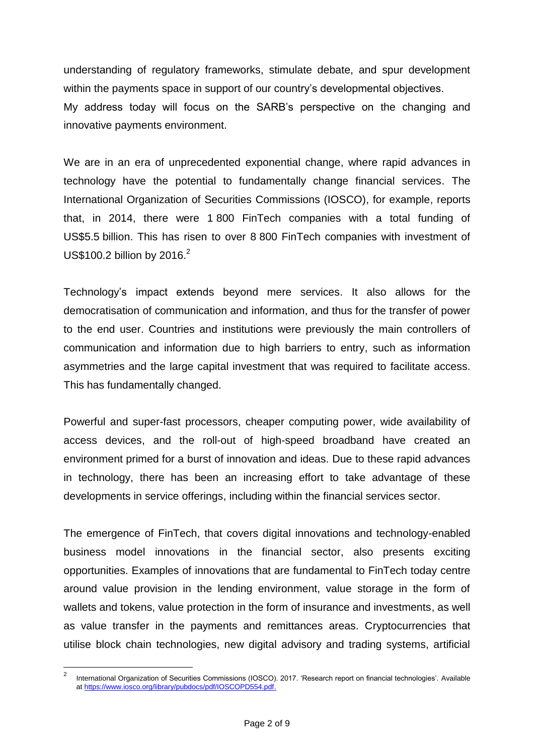understanding of regulatory frameworks, stimulate debate, and spur development within the payments space in support of our country's developmental objectives. My address today will focus on the SARB's perspective on the changing and innovative payments environment.

We are in an era of unprecedented exponential change, where rapid advances in technology have the potential to fundamentally change financial services. The International Organization of Securities Commissions (IOSCO), for example, reports that, in 2014, there were 1 800 FinTech companies with a total funding of US\$5.5 billion. This has risen to over 8 800 FinTech companies with investment of US\$100.2 billion by 2016.<sup>2</sup>

Technology's impact extends beyond mere services. It also allows for the democratisation of communication and information, and thus for the transfer of power to the end user. Countries and institutions were previously the main controllers of communication and information due to high barriers to entry, such as information asymmetries and the large capital investment that was required to facilitate access. This has fundamentally changed.

Powerful and super-fast processors, cheaper computing power, wide availability of access devices, and the roll-out of high-speed broadband have created an environment primed for a burst of innovation and ideas. Due to these rapid advances in technology, there has been an increasing effort to take advantage of these developments in service offerings, including within the financial services sector.

The emergence of FinTech, that covers digital innovations and technology-enabled business model innovations in the financial sector, also presents exciting opportunities. Examples of innovations that are fundamental to FinTech today centre around value provision in the lending environment, value storage in the form of wallets and tokens, value protection in the form of insurance and investments, as well as value transfer in the payments and remittances areas. Cryptocurrencies that utilise block chain technologies, new digital advisory and trading systems, artificial

 $\overline{a}$ 

<sup>2</sup> International Organization of Securities Commissions (IOSCO). 2017. 'Research report on financial technologies'*.* Available at [https://www.iosco.org/library/pubdocs/pdf/IOSCOPD554.pdf.](https://www.iosco.org/library/pubdocs/pdf/IOSCOPD554.pdf)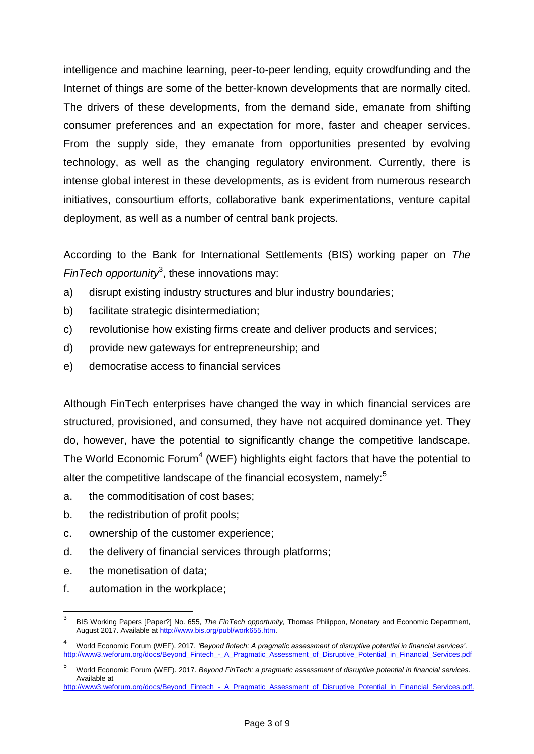intelligence and machine learning, peer-to-peer lending, equity crowdfunding and the Internet of things are some of the better-known developments that are normally cited. The drivers of these developments, from the demand side, emanate from shifting consumer preferences and an expectation for more, faster and cheaper services. From the supply side, they emanate from opportunities presented by evolving technology, as well as the changing regulatory environment. Currently, there is intense global interest in these developments, as is evident from numerous research initiatives, consourtium efforts, collaborative bank experimentations, venture capital deployment, as well as a number of central bank projects.

According to the Bank for International Settlements (BIS) working paper on *The*  FinTech opportunity<sup>3</sup>, these innovations may:

- a) disrupt existing industry structures and blur industry boundaries;
- b) facilitate strategic disintermediation:
- c) revolutionise how existing firms create and deliver products and services;
- d) provide new gateways for entrepreneurship; and
- e) democratise access to financial services

Although FinTech enterprises have changed the way in which financial services are structured, provisioned, and consumed, they have not acquired dominance yet. They do, however, have the potential to significantly change the competitive landscape. The World Economic Forum<sup>4</sup> (WEF) highlights eight factors that have the potential to alter the competitive landscape of the financial ecosystem, namely:<sup>5</sup>

- a. the commoditisation of cost bases;
- b. the redistribution of profit pools;
- c. ownership of the customer experience;
- d. the delivery of financial services through platforms;
- e. the monetisation of data;
- f. automation in the workplace;

<sup>-&</sup>lt;br>3 BIS Working Papers [Paper?] No. 655, *The FinTech opportunity,* Thomas Philippon, Monetary and Economic Department, August 2017. Available at [http://www.bis.org/publ/work655.htm.](http://www.bis.org/publ/work655.htm)

<sup>4</sup> World Economic Forum (WEF). 2017. *'Beyond fintech: A pragmatic assessment of disruptive potential in financial services'*. [http://www3.weforum.org/docs/Beyond\\_Fintech\\_-\\_A\\_Pragmatic\\_Assessment\\_of\\_Disruptive\\_Potential\\_in\\_Financial\\_Services.pdf](http://www3.weforum.org/docs/Beyond_Fintech_-_A_Pragmatic_Assessment_of_Disruptive_Potential_in_Financial_Services.pdf)

<sup>5</sup> World Economic Forum (WEF). 2017. *Beyond FinTech: a pragmatic assessment of disruptive potential in financial services*. Available at

[http://www3.weforum.org/docs/Beyond\\_Fintech\\_-\\_A\\_Pragmatic\\_Assessment\\_of\\_Disruptive\\_Potential\\_in\\_Financial\\_Services.pdf.](http://www3.weforum.org/docs/Beyond_Fintech_-_A_Pragmatic_Assessment_of_Disruptive_Potential_in_Financial_Services.pdf)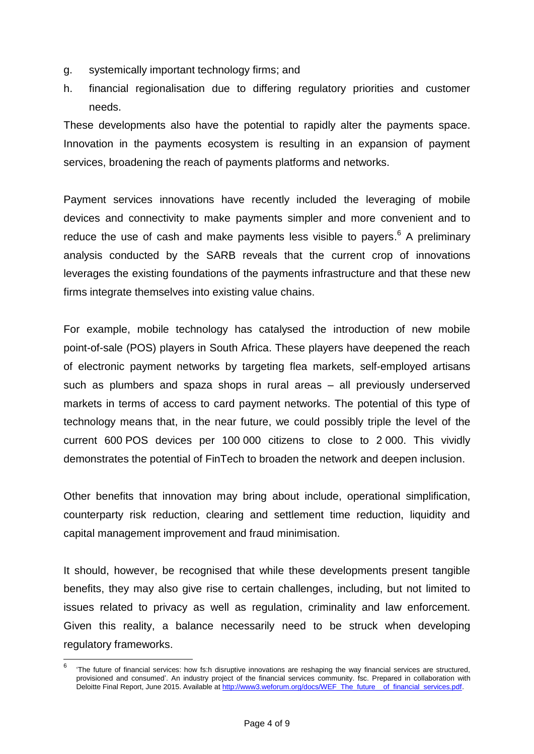- g. systemically important technology firms; and
- h. financial regionalisation due to differing regulatory priorities and customer needs.

These developments also have the potential to rapidly alter the payments space. Innovation in the payments ecosystem is resulting in an expansion of payment services, broadening the reach of payments platforms and networks.

Payment services innovations have recently included the leveraging of mobile devices and connectivity to make payments simpler and more convenient and to reduce the use of cash and make payments less visible to payers.<sup>6</sup> A preliminary analysis conducted by the SARB reveals that the current crop of innovations leverages the existing foundations of the payments infrastructure and that these new firms integrate themselves into existing value chains.

For example, mobile technology has catalysed the introduction of new mobile point-of-sale (POS) players in South Africa. These players have deepened the reach of electronic payment networks by targeting flea markets, self-employed artisans such as plumbers and spaza shops in rural areas – all previously underserved markets in terms of access to card payment networks. The potential of this type of technology means that, in the near future, we could possibly triple the level of the current 600 POS devices per 100 000 citizens to close to 2 000. This vividly demonstrates the potential of FinTech to broaden the network and deepen inclusion.

Other benefits that innovation may bring about include, operational simplification, counterparty risk reduction, clearing and settlement time reduction, liquidity and capital management improvement and fraud minimisation.

It should, however, be recognised that while these developments present tangible benefits, they may also give rise to certain challenges, including, but not limited to issues related to privacy as well as regulation, criminality and law enforcement. Given this reality, a balance necessarily need to be struck when developing regulatory frameworks.

 $\overline{a}$ 

<sup>6</sup> 'The future of financial services: how fs:h disruptive innovations are reshaping the way financial services are structured, provisioned and consumed'. An industry project of the financial services community. fsc. Prepared in collaboration with Deloitte Final Report, June 2015. Available at [http://www3.weforum.org/docs/WEF\\_The\\_future\\_\\_of\\_financial\\_services.pdf.](http://www3.weforum.org/docs/WEF_The_future__of_financial_services.pdf)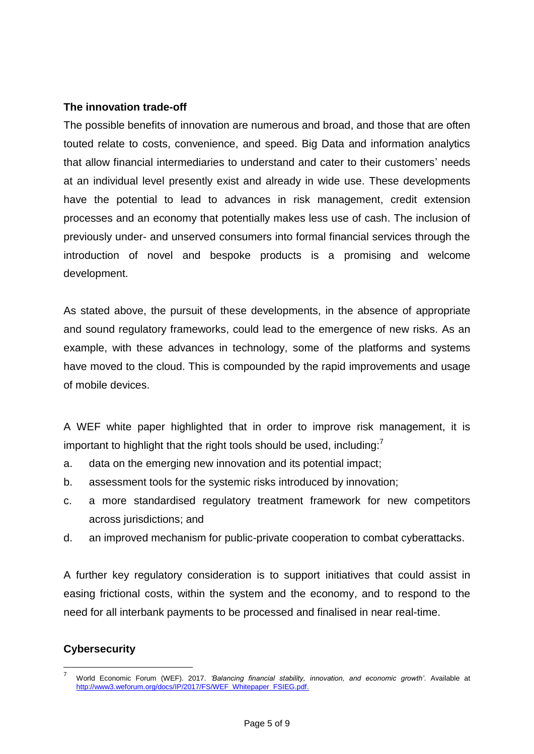#### **The innovation trade-off**

The possible benefits of innovation are numerous and broad, and those that are often touted relate to costs, convenience, and speed. Big Data and information analytics that allow financial intermediaries to understand and cater to their customers' needs at an individual level presently exist and already in wide use. These developments have the potential to lead to advances in risk management, credit extension processes and an economy that potentially makes less use of cash. The inclusion of previously under- and unserved consumers into formal financial services through the introduction of novel and bespoke products is a promising and welcome development.

As stated above, the pursuit of these developments, in the absence of appropriate and sound regulatory frameworks, could lead to the emergence of new risks. As an example, with these advances in technology, some of the platforms and systems have moved to the cloud. This is compounded by the rapid improvements and usage of mobile devices.

A WEF white paper highlighted that in order to improve risk management, it is important to highlight that the right tools should be used, including:<sup>7</sup>

- a. data on the emerging new innovation and its potential impact;
- b. assessment tools for the systemic risks introduced by innovation;
- c. a more standardised regulatory treatment framework for new competitors across jurisdictions; and
- d. an improved mechanism for public-private cooperation to combat cyberattacks.

A further key regulatory consideration is to support initiatives that could assist in easing frictional costs, within the system and the economy, and to respond to the need for all interbank payments to be processed and finalised in near real-time.

## **Cybersecurity**

 $\overline{a}$ 

<sup>7</sup> World Economic Forum (WEF). 2017. *'Balancing financial stability, innovation, and economic growth'*. Available at [http://www3.weforum.org/docs/IP/2017/FS/WEF\\_Whitepaper\\_FSIEG.pdf.](http://www3.weforum.org/docs/IP/2017/FS/WEF_Whitepaper_FSIEG.pdf)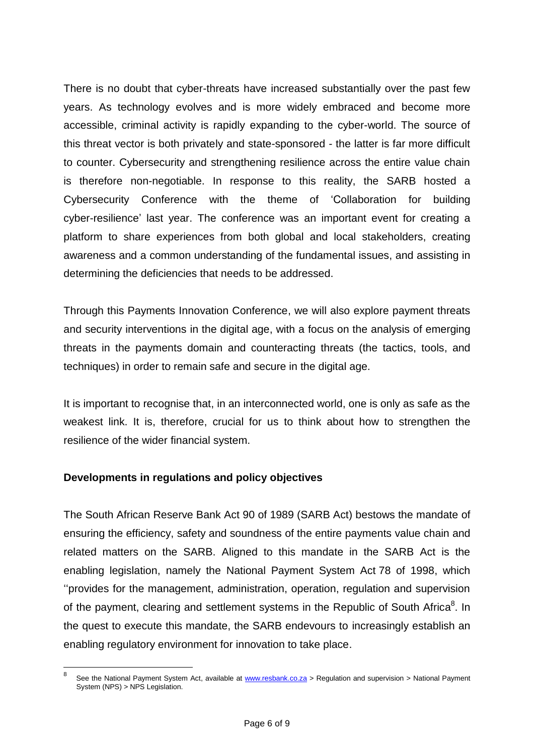There is no doubt that cyber-threats have increased substantially over the past few years. As technology evolves and is more widely embraced and become more accessible, criminal activity is rapidly expanding to the cyber-world. The source of this threat vector is both privately and state-sponsored - the latter is far more difficult to counter. Cybersecurity and strengthening resilience across the entire value chain is therefore non-negotiable. In response to this reality, the SARB hosted a Cybersecurity Conference with the theme of 'Collaboration for building cyber-resilience' last year. The conference was an important event for creating a platform to share experiences from both global and local stakeholders, creating awareness and a common understanding of the fundamental issues, and assisting in determining the deficiencies that needs to be addressed.

Through this Payments Innovation Conference, we will also explore payment threats and security interventions in the digital age, with a focus on the analysis of emerging threats in the payments domain and counteracting threats (the tactics, tools, and techniques) in order to remain safe and secure in the digital age.

It is important to recognise that, in an interconnected world, one is only as safe as the weakest link. It is, therefore, crucial for us to think about how to strengthen the resilience of the wider financial system.

## **Developments in regulations and policy objectives**

 $\overline{a}$ 

The South African Reserve Bank Act 90 of 1989 (SARB Act) bestows the mandate of ensuring the efficiency, safety and soundness of the entire payments value chain and related matters on the SARB. Aligned to this mandate in the SARB Act is the enabling legislation, namely the National Payment System Act 78 of 1998, which ''provides for the management, administration, operation, regulation and supervision of the payment, clearing and settlement systems in the Republic of South Africa<sup>8</sup>. In the quest to execute this mandate, the SARB endevours to increasingly establish an enabling regulatory environment for innovation to take place.

<sup>8</sup> See the National Payment System Act, available at [www.resbank.co.za](http://www.resbank.co.za/) > Regulation and supervision > National Payment System (NPS) > NPS Legislation.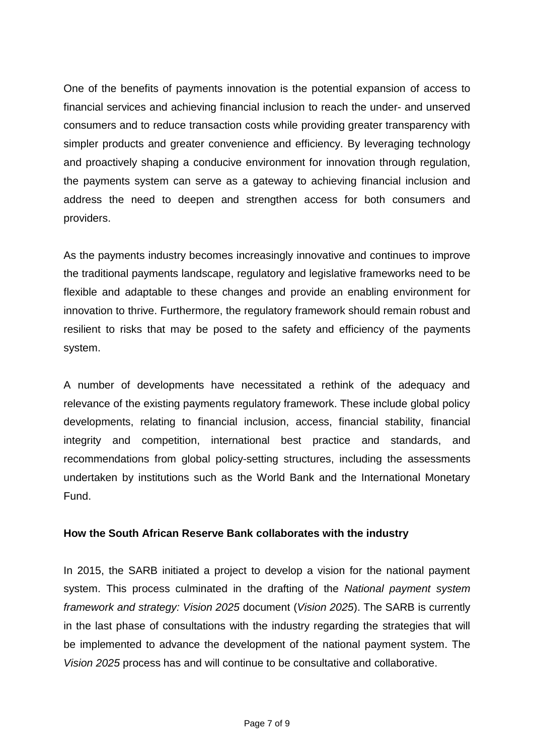One of the benefits of payments innovation is the potential expansion of access to financial services and achieving financial inclusion to reach the under- and unserved consumers and to reduce transaction costs while providing greater transparency with simpler products and greater convenience and efficiency. By leveraging technology and proactively shaping a conducive environment for innovation through regulation, the payments system can serve as a gateway to achieving financial inclusion and address the need to deepen and strengthen access for both consumers and providers.

As the payments industry becomes increasingly innovative and continues to improve the traditional payments landscape, regulatory and legislative frameworks need to be flexible and adaptable to these changes and provide an enabling environment for innovation to thrive. Furthermore, the regulatory framework should remain robust and resilient to risks that may be posed to the safety and efficiency of the payments system.

A number of developments have necessitated a rethink of the adequacy and relevance of the existing payments regulatory framework. These include global policy developments, relating to financial inclusion, access, financial stability, financial integrity and competition, international best practice and standards, and recommendations from global policy-setting structures, including the assessments undertaken by institutions such as the World Bank and the International Monetary Fund.

#### **How the South African Reserve Bank collaborates with the industry**

In 2015, the SARB initiated a project to develop a vision for the national payment system. This process culminated in the drafting of the *National payment system framework and strategy: Vision 2025* document (*Vision 2025*). The SARB is currently in the last phase of consultations with the industry regarding the strategies that will be implemented to advance the development of the national payment system. The *Vision 2025* process has and will continue to be consultative and collaborative.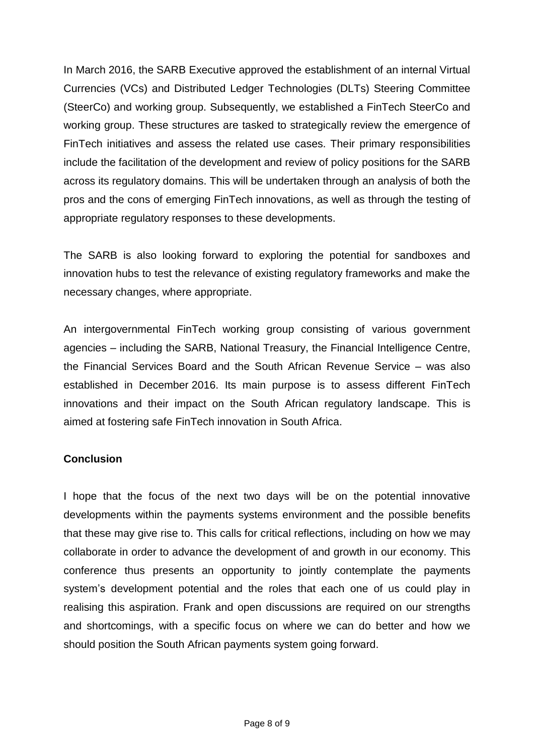In March 2016, the SARB Executive approved the establishment of an internal Virtual Currencies (VCs) and Distributed Ledger Technologies (DLTs) Steering Committee (SteerCo) and working group. Subsequently, we established a FinTech SteerCo and working group. These structures are tasked to strategically review the emergence of FinTech initiatives and assess the related use cases. Their primary responsibilities include the facilitation of the development and review of policy positions for the SARB across its regulatory domains. This will be undertaken through an analysis of both the pros and the cons of emerging FinTech innovations, as well as through the testing of appropriate regulatory responses to these developments.

The SARB is also looking forward to exploring the potential for sandboxes and innovation hubs to test the relevance of existing regulatory frameworks and make the necessary changes, where appropriate.

An intergovernmental FinTech working group consisting of various government agencies – including the SARB, National Treasury, the Financial Intelligence Centre, the Financial Services Board and the South African Revenue Service – was also established in December 2016. Its main purpose is to assess different FinTech innovations and their impact on the South African regulatory landscape. This is aimed at fostering safe FinTech innovation in South Africa.

## **Conclusion**

I hope that the focus of the next two days will be on the potential innovative developments within the payments systems environment and the possible benefits that these may give rise to. This calls for critical reflections, including on how we may collaborate in order to advance the development of and growth in our economy. This conference thus presents an opportunity to jointly contemplate the payments system's development potential and the roles that each one of us could play in realising this aspiration. Frank and open discussions are required on our strengths and shortcomings, with a specific focus on where we can do better and how we should position the South African payments system going forward.